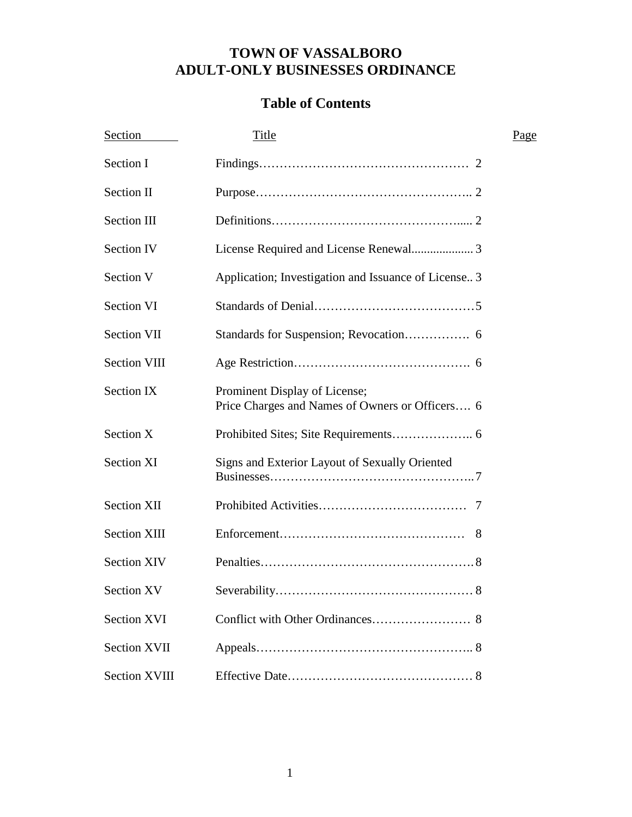# **TOWN OF VASSALBORO ADULT-ONLY BUSINESSES ORDINANCE**

# **Table of Contents**

| Section              | <b>Title</b>                                                                     | Page |
|----------------------|----------------------------------------------------------------------------------|------|
| Section I            |                                                                                  |      |
| Section II           |                                                                                  |      |
| Section III          |                                                                                  |      |
| <b>Section IV</b>    |                                                                                  |      |
| Section V            | Application; Investigation and Issuance of License 3                             |      |
| Section VI           |                                                                                  |      |
| <b>Section VII</b>   |                                                                                  |      |
| <b>Section VIII</b>  |                                                                                  |      |
| Section IX           | Prominent Display of License;<br>Price Charges and Names of Owners or Officers 6 |      |
| Section X            |                                                                                  |      |
| <b>Section XI</b>    | Signs and Exterior Layout of Sexually Oriented                                   |      |
| <b>Section XII</b>   |                                                                                  |      |
| <b>Section XIII</b>  | 8                                                                                |      |
| <b>Section XIV</b>   |                                                                                  |      |
| Section XV           | $\ldots 8$                                                                       |      |
| <b>Section XVI</b>   |                                                                                  |      |
| <b>Section XVII</b>  |                                                                                  |      |
| <b>Section XVIII</b> |                                                                                  |      |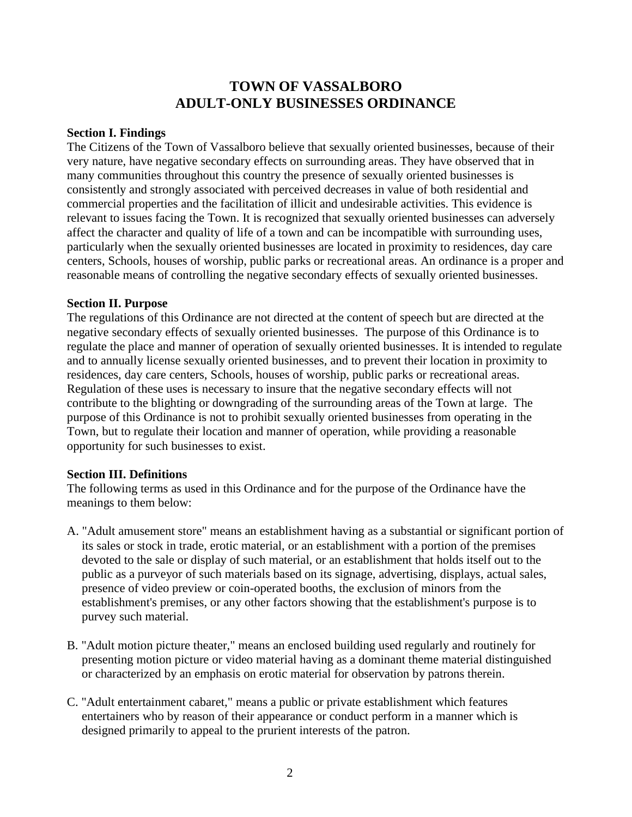# **TOWN OF VASSALBORO ADULT-ONLY BUSINESSES ORDINANCE**

#### **Section I. Findings**

The Citizens of the Town of Vassalboro believe that sexually oriented businesses, because of their very nature, have negative secondary effects on surrounding areas. They have observed that in many communities throughout this country the presence of sexually oriented businesses is consistently and strongly associated with perceived decreases in value of both residential and commercial properties and the facilitation of illicit and undesirable activities. This evidence is relevant to issues facing the Town. It is recognized that sexually oriented businesses can adversely affect the character and quality of life of a town and can be incompatible with surrounding uses, particularly when the sexually oriented businesses are located in proximity to residences, day care centers, Schools, houses of worship, public parks or recreational areas. An ordinance is a proper and reasonable means of controlling the negative secondary effects of sexually oriented businesses.

#### **Section II. Purpose**

The regulations of this Ordinance are not directed at the content of speech but are directed at the negative secondary effects of sexually oriented businesses. The purpose of this Ordinance is to regulate the place and manner of operation of sexually oriented businesses. It is intended to regulate and to annually license sexually oriented businesses, and to prevent their location in proximity to residences, day care centers, Schools, houses of worship, public parks or recreational areas. Regulation of these uses is necessary to insure that the negative secondary effects will not contribute to the blighting or downgrading of the surrounding areas of the Town at large. The purpose of this Ordinance is not to prohibit sexually oriented businesses from operating in the Town, but to regulate their location and manner of operation, while providing a reasonable opportunity for such businesses to exist.

#### **Section III. Definitions**

The following terms as used in this Ordinance and for the purpose of the Ordinance have the meanings to them below:

- A. "Adult amusement store" means an establishment having as a substantial or significant portion of its sales or stock in trade, erotic material, or an establishment with a portion of the premises devoted to the sale or display of such material, or an establishment that holds itself out to the public as a purveyor of such materials based on its signage, advertising, displays, actual sales, presence of video preview or coin-operated booths, the exclusion of minors from the establishment's premises, or any other factors showing that the establishment's purpose is to purvey such material.
- B. "Adult motion picture theater," means an enclosed building used regularly and routinely for presenting motion picture or video material having as a dominant theme material distinguished or characterized by an emphasis on erotic material for observation by patrons therein.
- C. "Adult entertainment cabaret," means a public or private establishment which features entertainers who by reason of their appearance or conduct perform in a manner which is designed primarily to appeal to the prurient interests of the patron.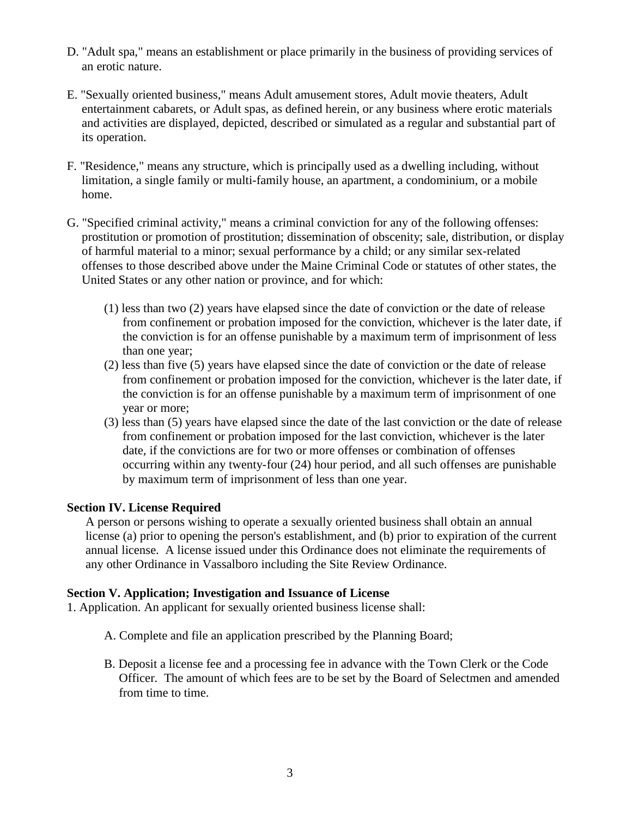- D. "Adult spa," means an establishment or place primarily in the business of providing services of an erotic nature.
- E. "Sexually oriented business," means Adult amusement stores, Adult movie theaters, Adult entertainment cabarets, or Adult spas, as defined herein, or any business where erotic materials and activities are displayed, depicted, described or simulated as a regular and substantial part of its operation.
- F. "Residence," means any structure, which is principally used as a dwelling including, without limitation, a single family or multi-family house, an apartment, a condominium, or a mobile home.
- G. "Specified criminal activity," means a criminal conviction for any of the following offenses: prostitution or promotion of prostitution; dissemination of obscenity; sale, distribution, or display of harmful material to a minor; sexual performance by a child; or any similar sex-related offenses to those described above under the Maine Criminal Code or statutes of other states, the United States or any other nation or province, and for which:
	- (1) less than two (2) years have elapsed since the date of conviction or the date of release from confinement or probation imposed for the conviction, whichever is the later date, if the conviction is for an offense punishable by a maximum term of imprisonment of less than one year;
	- (2) less than five (5) years have elapsed since the date of conviction or the date of release from confinement or probation imposed for the conviction, whichever is the later date, if the conviction is for an offense punishable by a maximum term of imprisonment of one year or more;
	- (3) less than (5) years have elapsed since the date of the last conviction or the date of release from confinement or probation imposed for the last conviction, whichever is the later date, if the convictions are for two or more offenses or combination of offenses occurring within any twenty-four (24) hour period, and all such offenses are punishable by maximum term of imprisonment of less than one year.

## **Section IV. License Required**

A person or persons wishing to operate a sexually oriented business shall obtain an annual license (a) prior to opening the person's establishment, and (b) prior to expiration of the current annual license. A license issued under this Ordinance does not eliminate the requirements of any other Ordinance in Vassalboro including the Site Review Ordinance.

#### **Section V. Application; Investigation and Issuance of License**

1. Application. An applicant for sexually oriented business license shall:

- A. Complete and file an application prescribed by the Planning Board;
- B. Deposit a license fee and a processing fee in advance with the Town Clerk or the Code Officer. The amount of which fees are to be set by the Board of Selectmen and amended from time to time.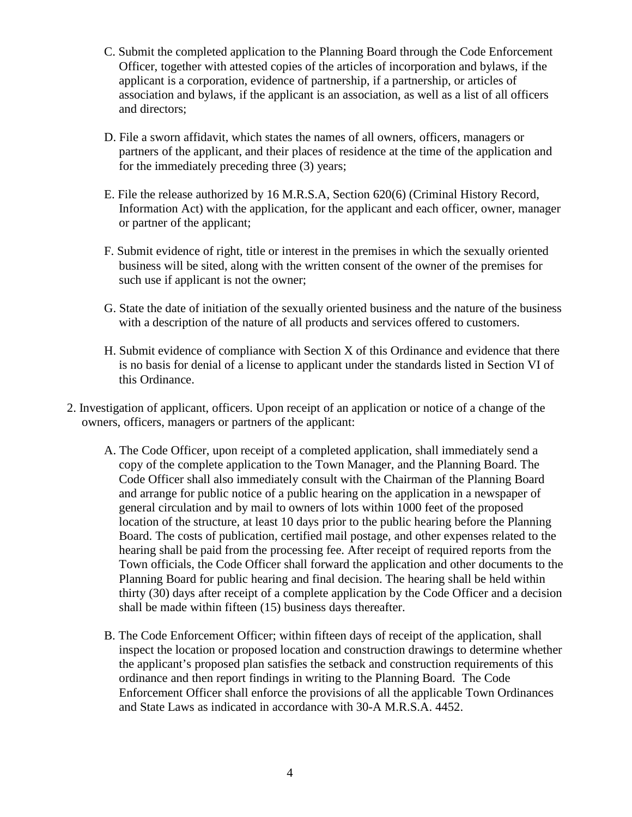- C. Submit the completed application to the Planning Board through the Code Enforcement Officer, together with attested copies of the articles of incorporation and bylaws, if the applicant is a corporation, evidence of partnership, if a partnership, or articles of association and bylaws, if the applicant is an association, as well as a list of all officers and directors;
- D. File a sworn affidavit, which states the names of all owners, officers, managers or partners of the applicant, and their places of residence at the time of the application and for the immediately preceding three (3) years;
- E. File the release authorized by 16 M.R.S.A, Section 620(6) (Criminal History Record, Information Act) with the application, for the applicant and each officer, owner, manager or partner of the applicant;
- F. Submit evidence of right, title or interest in the premises in which the sexually oriented business will be sited, along with the written consent of the owner of the premises for such use if applicant is not the owner;
- G. State the date of initiation of the sexually oriented business and the nature of the business with a description of the nature of all products and services offered to customers.
- H. Submit evidence of compliance with Section X of this Ordinance and evidence that there is no basis for denial of a license to applicant under the standards listed in Section VI of this Ordinance.
- 2. Investigation of applicant, officers. Upon receipt of an application or notice of a change of the owners, officers, managers or partners of the applicant:
	- A. The Code Officer, upon receipt of a completed application, shall immediately send a copy of the complete application to the Town Manager, and the Planning Board. The Code Officer shall also immediately consult with the Chairman of the Planning Board and arrange for public notice of a public hearing on the application in a newspaper of general circulation and by mail to owners of lots within 1000 feet of the proposed location of the structure, at least 10 days prior to the public hearing before the Planning Board. The costs of publication, certified mail postage, and other expenses related to the hearing shall be paid from the processing fee. After receipt of required reports from the Town officials, the Code Officer shall forward the application and other documents to the Planning Board for public hearing and final decision. The hearing shall be held within thirty (30) days after receipt of a complete application by the Code Officer and a decision shall be made within fifteen (15) business days thereafter.
	- B. The Code Enforcement Officer; within fifteen days of receipt of the application, shall inspect the location or proposed location and construction drawings to determine whether the applicant's proposed plan satisfies the setback and construction requirements of this ordinance and then report findings in writing to the Planning Board. The Code Enforcement Officer shall enforce the provisions of all the applicable Town Ordinances and State Laws as indicated in accordance with 30-A M.R.S.A. 4452.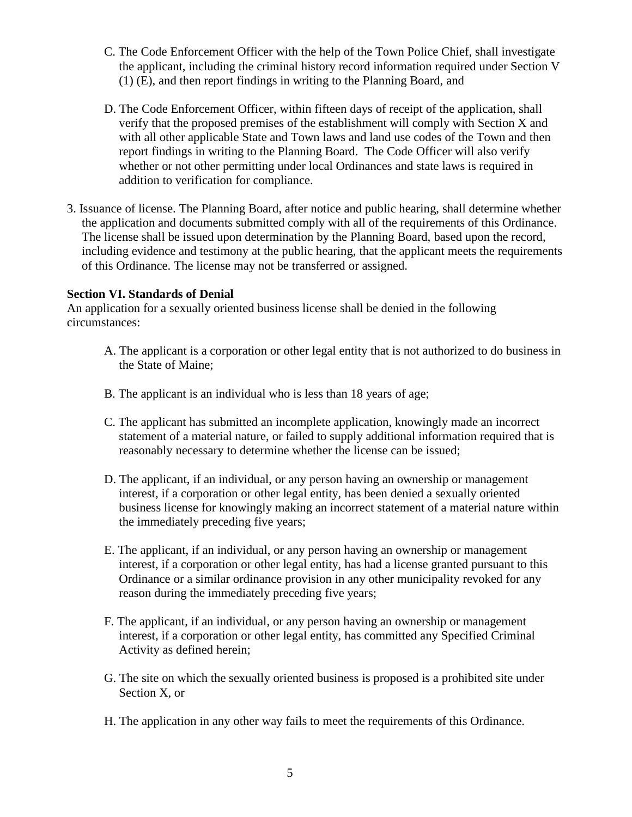- C. The Code Enforcement Officer with the help of the Town Police Chief, shall investigate the applicant, including the criminal history record information required under Section V (1) (E), and then report findings in writing to the Planning Board, and
- D. The Code Enforcement Officer, within fifteen days of receipt of the application, shall verify that the proposed premises of the establishment will comply with Section X and with all other applicable State and Town laws and land use codes of the Town and then report findings in writing to the Planning Board. The Code Officer will also verify whether or not other permitting under local Ordinances and state laws is required in addition to verification for compliance.
- 3. Issuance of license. The Planning Board, after notice and public hearing, shall determine whether the application and documents submitted comply with all of the requirements of this Ordinance. The license shall be issued upon determination by the Planning Board, based upon the record, including evidence and testimony at the public hearing, that the applicant meets the requirements of this Ordinance. The license may not be transferred or assigned.

#### **Section VI. Standards of Denial**

An application for a sexually oriented business license shall be denied in the following circumstances:

- A. The applicant is a corporation or other legal entity that is not authorized to do business in the State of Maine;
- B. The applicant is an individual who is less than 18 years of age;
- C. The applicant has submitted an incomplete application, knowingly made an incorrect statement of a material nature, or failed to supply additional information required that is reasonably necessary to determine whether the license can be issued;
- D. The applicant, if an individual, or any person having an ownership or management interest, if a corporation or other legal entity, has been denied a sexually oriented business license for knowingly making an incorrect statement of a material nature within the immediately preceding five years;
- E. The applicant, if an individual, or any person having an ownership or management interest, if a corporation or other legal entity, has had a license granted pursuant to this Ordinance or a similar ordinance provision in any other municipality revoked for any reason during the immediately preceding five years;
- F. The applicant, if an individual, or any person having an ownership or management interest, if a corporation or other legal entity, has committed any Specified Criminal Activity as defined herein;
- G. The site on which the sexually oriented business is proposed is a prohibited site under Section X, or
- H. The application in any other way fails to meet the requirements of this Ordinance.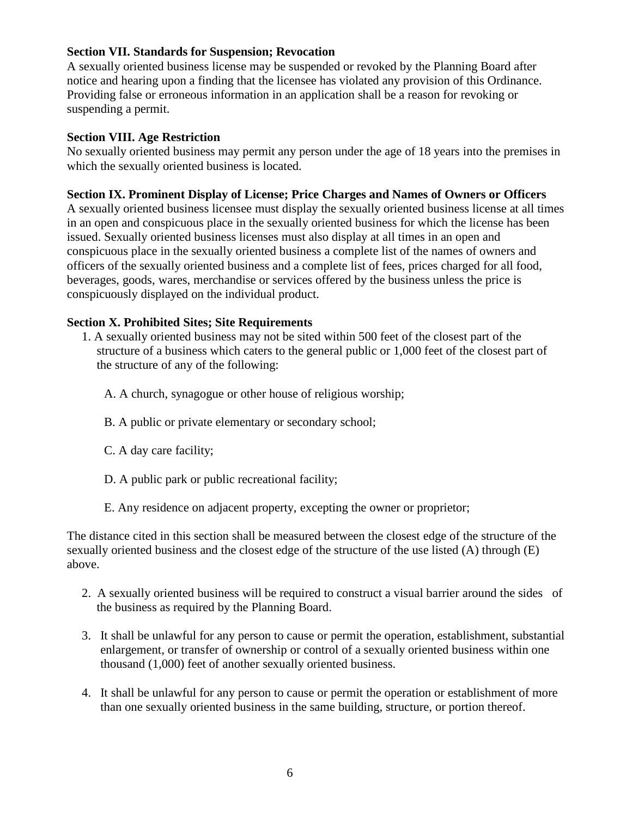## **Section VII. Standards for Suspension; Revocation**

A sexually oriented business license may be suspended or revoked by the Planning Board after notice and hearing upon a finding that the licensee has violated any provision of this Ordinance. Providing false or erroneous information in an application shall be a reason for revoking or suspending a permit.

## **Section VIII. Age Restriction**

No sexually oriented business may permit any person under the age of 18 years into the premises in which the sexually oriented business is located.

## **Section IX. Prominent Display of License; Price Charges and Names of Owners or Officers**

A sexually oriented business licensee must display the sexually oriented business license at all times in an open and conspicuous place in the sexually oriented business for which the license has been issued. Sexually oriented business licenses must also display at all times in an open and conspicuous place in the sexually oriented business a complete list of the names of owners and officers of the sexually oriented business and a complete list of fees, prices charged for all food, beverages, goods, wares, merchandise or services offered by the business unless the price is conspicuously displayed on the individual product.

## **Section X. Prohibited Sites; Site Requirements**

- 1. A sexually oriented business may not be sited within 500 feet of the closest part of the structure of a business which caters to the general public or 1,000 feet of the closest part of the structure of any of the following:
	- A. A church, synagogue or other house of religious worship;
	- B. A public or private elementary or secondary school;
	- C. A day care facility;
	- D. A public park or public recreational facility;
	- E. Any residence on adjacent property, excepting the owner or proprietor;

The distance cited in this section shall be measured between the closest edge of the structure of the sexually oriented business and the closest edge of the structure of the use listed (A) through (E) above.

- 2. A sexually oriented business will be required to construct a visual barrier around the sides of the business as required by the Planning Board.
- 3. It shall be unlawful for any person to cause or permit the operation, establishment, substantial enlargement, or transfer of ownership or control of a sexually oriented business within one thousand (1,000) feet of another sexually oriented business.
- 4. It shall be unlawful for any person to cause or permit the operation or establishment of more than one sexually oriented business in the same building, structure, or portion thereof.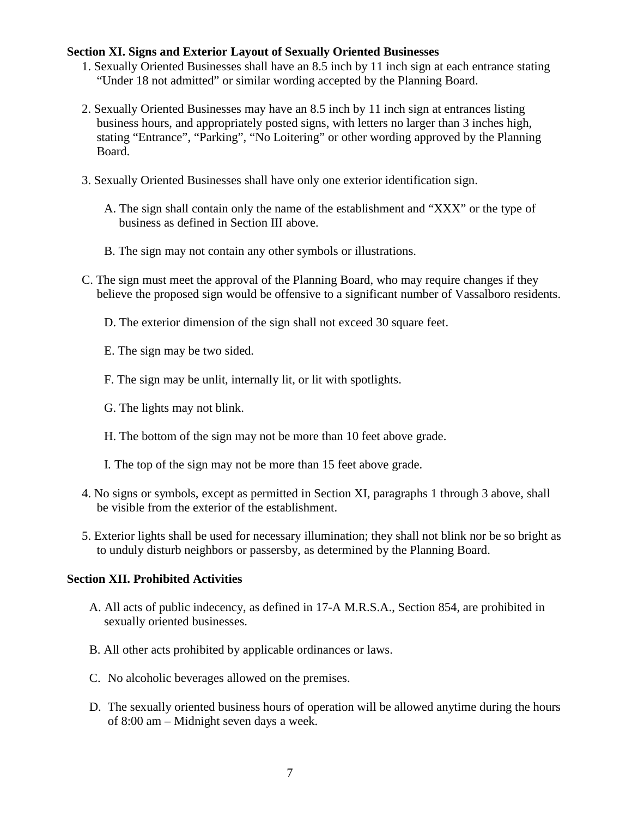#### **Section XI. Signs and Exterior Layout of Sexually Oriented Businesses**

- 1. Sexually Oriented Businesses shall have an 8.5 inch by 11 inch sign at each entrance stating "Under 18 not admitted" or similar wording accepted by the Planning Board.
- 2. Sexually Oriented Businesses may have an 8.5 inch by 11 inch sign at entrances listing business hours, and appropriately posted signs, with letters no larger than 3 inches high, stating "Entrance", "Parking", "No Loitering" or other wording approved by the Planning Board.
- 3. Sexually Oriented Businesses shall have only one exterior identification sign.
	- A. The sign shall contain only the name of the establishment and "XXX" or the type of business as defined in Section III above.
	- B. The sign may not contain any other symbols or illustrations.
- C. The sign must meet the approval of the Planning Board, who may require changes if they believe the proposed sign would be offensive to a significant number of Vassalboro residents.
	- D. The exterior dimension of the sign shall not exceed 30 square feet.
	- E. The sign may be two sided.
	- F. The sign may be unlit, internally lit, or lit with spotlights.
	- G. The lights may not blink.
	- H. The bottom of the sign may not be more than 10 feet above grade.
	- I. The top of the sign may not be more than 15 feet above grade.
- 4. No signs or symbols, except as permitted in Section XI, paragraphs 1 through 3 above, shall be visible from the exterior of the establishment.
- 5. Exterior lights shall be used for necessary illumination; they shall not blink nor be so bright as to unduly disturb neighbors or passersby, as determined by the Planning Board.

## **Section XII. Prohibited Activities**

- A. All acts of public indecency, as defined in 17-A M.R.S.A., Section 854, are prohibited in sexually oriented businesses.
- B. All other acts prohibited by applicable ordinances or laws.
- C. No alcoholic beverages allowed on the premises.
- D. The sexually oriented business hours of operation will be allowed anytime during the hours of 8:00 am – Midnight seven days a week.